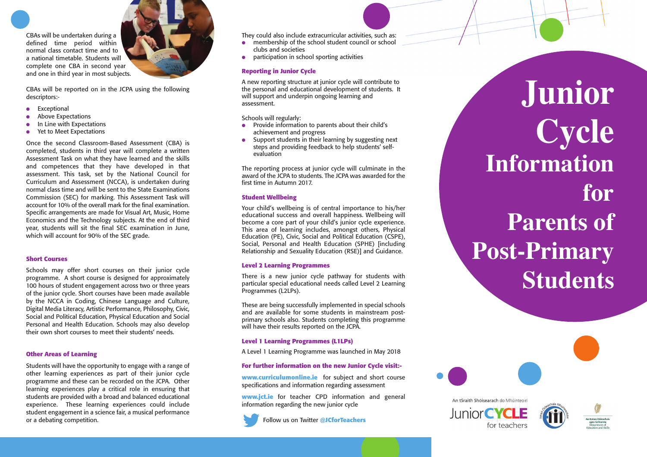CBAs will be undertaken during a defined time period within normal class contact time and to a national timetable. Students will complete one CBA in second year and one in third year in most subjects.



CBAs will be reported on in the JCPA using the following descriptors:-

- Exceptional
- Above Expectations
- In Line with Expectations
- Yet to Meet Expectations

Once the second Classroom-Based Assessment (CBA) is completed, students in third year will complete a written Assessment Task on what they have learned and the skills and competences that they have developed in that assessment. This task, set by the National Council for Curriculum and Assessment (NCCA), is undertaken during normal class time and will be sent to the State Examinations Commission (SEC) for marking. This Assessment Task will account for 10% of the overall mark for the final examination. Specific arrangements are made for Visual Art, Music, Home Economics and the Technology subjects. At the end of third year, students will sit the final SEC examination in June, which will account for 90% of the SEC grade.

### **Short Courses**

Schools may offer short courses on their junior cycle programme. A short course is designed for approximately 100 hours of student engagement across two or three years of the junior cycle. Short courses have been made available by the NCCA in Coding, Chinese Language and Culture, Digital Media Literacy, Artistic Performance, Philosophy, Civic, Social and Political Education, Physical Education and Social Personal and Health Education. Schools may also develop their own short courses to meet their students' needs.

### **Other Areas of Learning**

Students will have the opportunity to engage with a range of other learning experiences as part of their junior cycle programme and these can be recorded on the JCPA. Other learning experiences play a critical role in ensuring that students are provided with a broad and balanced educational experience. These learning experiences could include student engagement in a science fair, a musical performance or a debating competition.

They could also include extracurricular activities, such as:

- membership of the school student council or school clubs and societies
- participation in school sporting activities

### Reporting in Junior Cycle

A new reporting structure at junior cycle will contribute to the personal and educational development of students. It will support and underpin ongoing learning and assessment.

Schools will regularly:

- Provide information to parents about their child's achievement and progress
- Support students in their learning by suggesting next steps and providing feedback to help students' selfevaluation

The reporting process at junior cycle will culminate in the award of the JCPA to students. The JCPA was awarded for the first time in Autumn 2017.

### **S t u d e n t We l l b e i n g**

Your child's wellbeing is of central importance to his/her educational success and overall happiness. Wellbeing will become a core part of your child's junior cycle experience. This area of learning includes, amongst others, Physical Education (PE), Civic, Social and Political Education (CSPE), Social, Personal and Health Education (SPHE) [including Relationship and Sexuality Education (RSE)] and Guidance.

### Level 2 Learning Programmes

There is a new junior cycle pathway for students with particular special educational needs called Level 2 Learning Programmes (L2LPs).

These are being successfully implemented in special schools and are available for some students in mainstream postprimary schools also. Students completing this programme will have their results reported on the JCPA.

### Level 1 Learning Programmes (L1LPs)

A Level 1 Learning Programme was launched in May 2018

### For further information on the new Junior Cycle visit:-

www.curriculumonline.ie for subject and short course specifications and information regarding assessment

**www.jct.ie** for teacher CPD information and general information regarding the new junior cycle



Follow us on Twitter @JCforTeachers

**J u n i o r**  $C$  **y**cle Information **fo r Parents of Post-Primary** Students